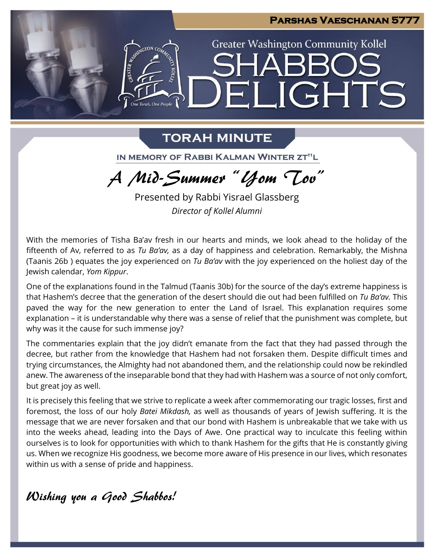

# **TORAH MINUTE**

IN MEMORY OF RABBI KALMAN WINTER ZT"L

A Mid-Summer "Yom Tov"

Presented by Rabbi Yisrael Glassberg *Director of Kollel Alumni*

With the memories of Tisha Ba'av fresh in our hearts and minds, we look ahead to the holiday of the fifteenth of Av, referred to as *Tu Ba'av,* as a day of happiness and celebration. Remarkably, the Mishna (Taanis 26b ) equates the joy experienced on *Tu Ba'av* with the joy experienced on the holiest day of the Jewish calendar, *Yom Kippur*.

One of the explanations found in the Talmud (Taanis 30b) for the source of the day's extreme happiness is that Hashem's decree that the generation of the desert should die out had been fulfilled on *Tu Ba'av.* This paved the way for the new generation to enter the Land of Israel. This explanation requires some explanation – it is understandable why there was a sense of relief that the punishment was complete, but why was it the cause for such immense joy?

The commentaries explain that the joy didn't emanate from the fact that they had passed through the decree, but rather from the knowledge that Hashem had not forsaken them. Despite difficult times and trying circumstances, the Almighty had not abandoned them, and the relationship could now be rekindled anew. The awareness of the inseparable bond that they had with Hashem was a source of not only comfort, but great joy as well.

It is precisely this feeling that we strive to replicate a week after commemorating our tragic losses, first and foremost, the loss of our holy *Batei Mikdash,* as well as thousands of years of Jewish suffering. It is the message that we are never forsaken and that our bond with Hashem is unbreakable that we take with us into the weeks ahead, leading into the Days of Awe. One practical way to inculcate this feeling within ourselves is to look for opportunities with which to thank Hashem for the gifts that He is constantly giving us. When we recognize His goodness, we become more aware of His presence in our lives, which resonates within us with a sense of pride and happiness.

Wishing you a Good Shabbos!